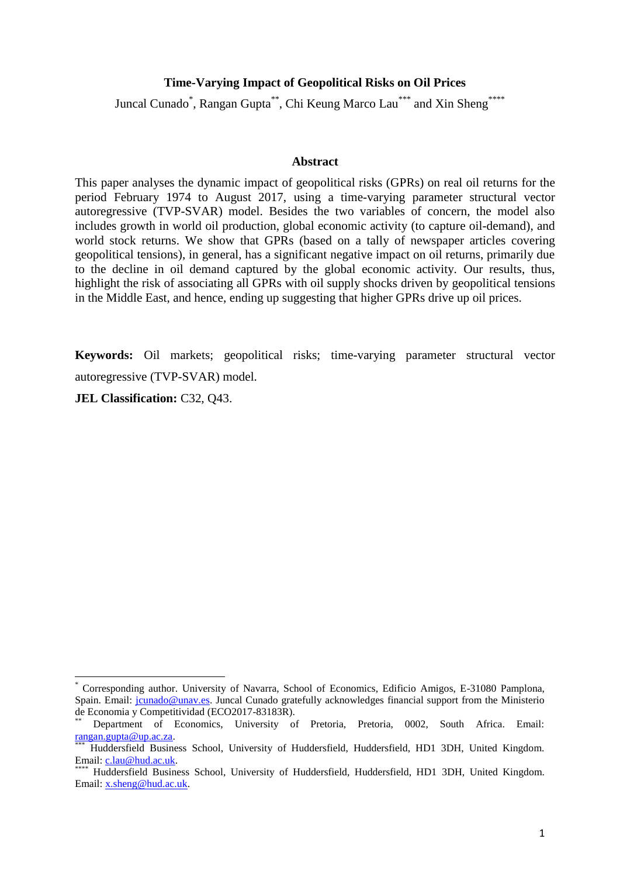#### **Time-Varying Impact of Geopolitical Risks on Oil Prices**

Juncal Cunado<sup>\*</sup>, Rangan Gupta<sup>\*\*</sup>, Chi Keung Marco Lau<sup>\*\*\*</sup> and Xin Sheng<sup>\*\*\*\*</sup>

#### **Abstract**

This paper analyses the dynamic impact of geopolitical risks (GPRs) on real oil returns for the period February 1974 to August 2017, using a time-varying parameter structural vector autoregressive (TVP-SVAR) model. Besides the two variables of concern, the model also includes growth in world oil production, global economic activity (to capture oil-demand), and world stock returns. We show that GPRs (based on a tally of newspaper articles covering geopolitical tensions), in general, has a significant negative impact on oil returns, primarily due to the decline in oil demand captured by the global economic activity. Our results, thus, highlight the risk of associating all GPRs with oil supply shocks driven by geopolitical tensions in the Middle East, and hence, ending up suggesting that higher GPRs drive up oil prices.

**Keywords:** Oil markets; geopolitical risks; time-varying parameter structural vector autoregressive (TVP-SVAR) model.

**JEL Classification:** C32, Q43.

**.** 

<sup>\*</sup> Corresponding author. University of Navarra, School of Economics, Edificio Amigos, E-31080 Pamplona, Spain. Email: jounado@unav.es. Juncal Cunado gratefully acknowledges financial support from the Ministerio de Economia y Competitividad (ECO2017-83183R).

Department of Economics, University of Pretoria, Pretoria, 0002, South Africa. Email: [rangan.gupta@up.ac.za.](rangan.gupta@up.ac.za)

<sup>\*\*\*</sup> Huddersfield Business School, University of Huddersfield, Huddersfield, HD1 3DH, United Kingdom. Email: [c.lau@hud.ac.uk.](c.lau@hud.ac.uk)

<sup>\*\*\*\*</sup> Huddersfield Business School, University of Huddersfield, Huddersfield, HD1 3DH, United Kingdom. Email: [x.sheng@hud.ac.uk.](x.sheng@hud.ac.uk)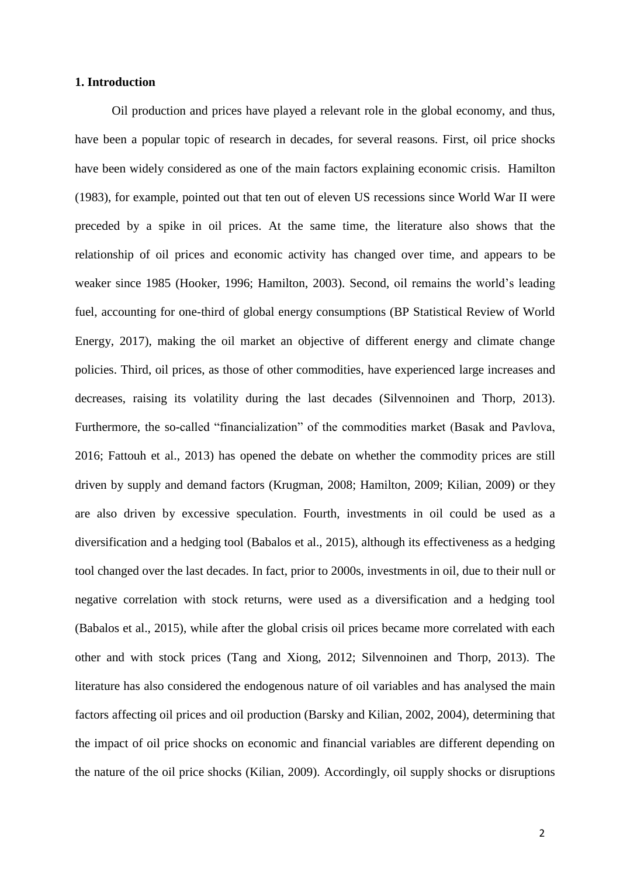### **1. Introduction**

Oil production and prices have played a relevant role in the global economy, and thus, have been a popular topic of research in decades, for several reasons. First, oil price shocks have been widely considered as one of the main factors explaining economic crisis. Hamilton (1983), for example, pointed out that ten out of eleven US recessions since World War II were preceded by a spike in oil prices. At the same time, the literature also shows that the relationship of oil prices and economic activity has changed over time, and appears to be weaker since 1985 (Hooker, 1996; Hamilton, 2003). Second, oil remains the world's leading fuel, accounting for one-third of global energy consumptions (BP Statistical Review of World Energy, 2017), making the oil market an objective of different energy and climate change policies. Third, oil prices, as those of other commodities, have experienced large increases and decreases, raising its volatility during the last decades (Silvennoinen and Thorp, 2013). Furthermore, the so-called "financialization" of the commodities market (Basak and Pavlova, 2016; Fattouh et al., 2013) has opened the debate on whether the commodity prices are still driven by supply and demand factors (Krugman, 2008; Hamilton, 2009; Kilian, 2009) or they are also driven by excessive speculation. Fourth, investments in oil could be used as a diversification and a hedging tool (Babalos et al., 2015), although its effectiveness as a hedging tool changed over the last decades. In fact, prior to 2000s, investments in oil, due to their null or negative correlation with stock returns, were used as a diversification and a hedging tool (Babalos et al., 2015), while after the global crisis oil prices became more correlated with each other and with stock prices (Tang and Xiong, 2012; Silvennoinen and Thorp, 2013). The literature has also considered the endogenous nature of oil variables and has analysed the main factors affecting oil prices and oil production (Barsky and Kilian, 2002, 2004), determining that the impact of oil price shocks on economic and financial variables are different depending on the nature of the oil price shocks (Kilian, 2009). Accordingly, oil supply shocks or disruptions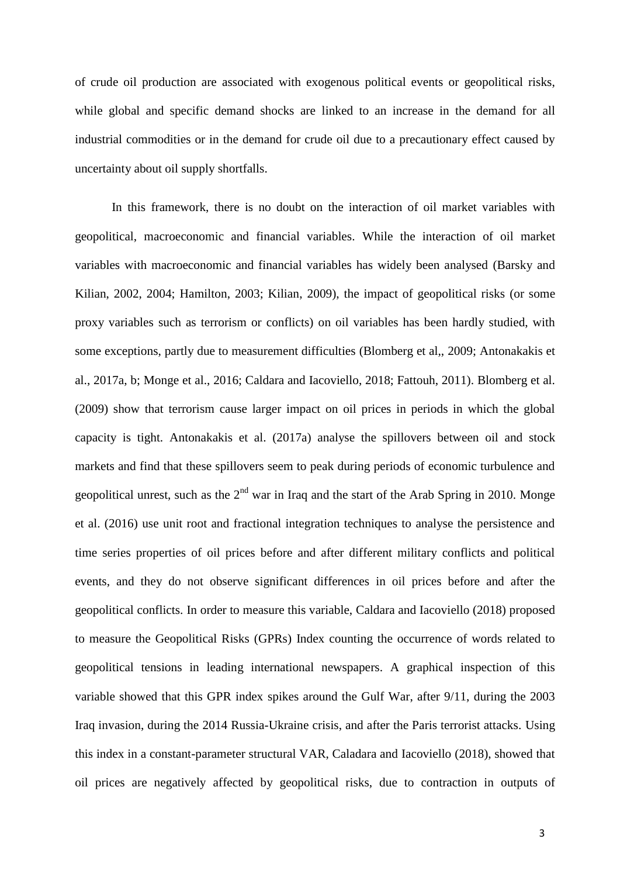of crude oil production are associated with exogenous political events or geopolitical risks, while global and specific demand shocks are linked to an increase in the demand for all industrial commodities or in the demand for crude oil due to a precautionary effect caused by uncertainty about oil supply shortfalls.

In this framework, there is no doubt on the interaction of oil market variables with geopolitical, macroeconomic and financial variables. While the interaction of oil market variables with macroeconomic and financial variables has widely been analysed (Barsky and Kilian, 2002, 2004; Hamilton, 2003; Kilian, 2009), the impact of geopolitical risks (or some proxy variables such as terrorism or conflicts) on oil variables has been hardly studied, with some exceptions, partly due to measurement difficulties (Blomberg et al,, 2009; Antonakakis et al., 2017a, b; Monge et al., 2016; Caldara and Iacoviello, 2018; Fattouh, 2011). Blomberg et al. (2009) show that terrorism cause larger impact on oil prices in periods in which the global capacity is tight. Antonakakis et al. (2017a) analyse the spillovers between oil and stock markets and find that these spillovers seem to peak during periods of economic turbulence and geopolitical unrest, such as the  $2<sup>nd</sup>$  war in Iraq and the start of the Arab Spring in 2010. Monge et al. (2016) use unit root and fractional integration techniques to analyse the persistence and time series properties of oil prices before and after different military conflicts and political events, and they do not observe significant differences in oil prices before and after the geopolitical conflicts. In order to measure this variable, Caldara and Iacoviello (2018) proposed to measure the Geopolitical Risks (GPRs) Index counting the occurrence of words related to geopolitical tensions in leading international newspapers. A graphical inspection of this variable showed that this GPR index spikes around the Gulf War, after 9/11, during the 2003 Iraq invasion, during the 2014 Russia-Ukraine crisis, and after the Paris terrorist attacks. Using this index in a constant-parameter structural VAR, Caladara and Iacoviello (2018), showed that oil prices are negatively affected by geopolitical risks, due to contraction in outputs of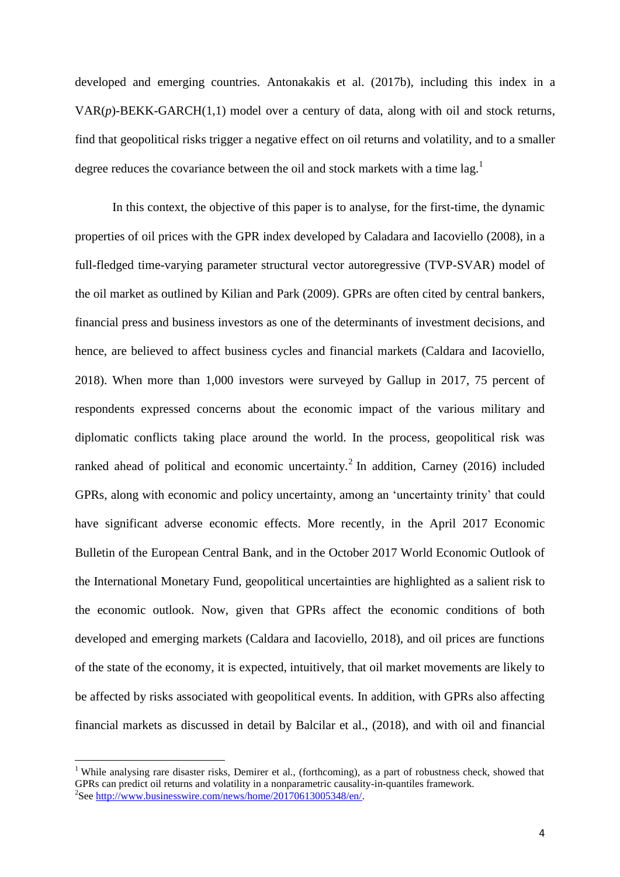developed and emerging countries. Antonakakis et al. (2017b), including this index in a VAR(*p*)-BEKK-GARCH(1,1) model over a century of data, along with oil and stock returns, find that geopolitical risks trigger a negative effect on oil returns and volatility, and to a smaller degree reduces the covariance between the oil and stock markets with a time  $\log$ <sup>1</sup>

In this context, the objective of this paper is to analyse, for the first-time, the dynamic properties of oil prices with the GPR index developed by Caladara and Iacoviello (2008), in a full-fledged time-varying parameter structural vector autoregressive (TVP-SVAR) model of the oil market as outlined by Kilian and Park (2009). GPRs are often cited by central bankers, financial press and business investors as one of the determinants of investment decisions, and hence, are believed to affect business cycles and financial markets (Caldara and Iacoviello, 2018). When more than 1,000 investors were surveyed by Gallup in 2017, 75 percent of respondents expressed concerns about the economic impact of the various military and diplomatic conflicts taking place around the world. In the process, geopolitical risk was ranked ahead of political and economic uncertainty.<sup>2</sup> In addition, Carney (2016) included GPRs, along with economic and policy uncertainty, among an 'uncertainty trinity' that could have significant adverse economic effects. More recently, in the April 2017 Economic Bulletin of the European Central Bank, and in the October 2017 World Economic Outlook of the International Monetary Fund, geopolitical uncertainties are highlighted as a salient risk to the economic outlook. Now, given that GPRs affect the economic conditions of both developed and emerging markets (Caldara and Iacoviello, 2018), and oil prices are functions of the state of the economy, it is expected, intuitively, that oil market movements are likely to be affected by risks associated with geopolitical events. In addition, with GPRs also affecting financial markets as discussed in detail by Balcilar et al., (2018), and with oil and financial

1

<sup>&</sup>lt;sup>1</sup> While analysing rare disaster risks, Demirer et al., (forthcoming), as a part of robustness check, showed that GPRs can predict oil returns and volatility in a nonparametric causality-in-quantiles framework. <sup>2</sup>See [http://www.businesswire.com/news/home/20170613005348/en/.](http://www.businesswire.com/news/home/20170613005348/en/)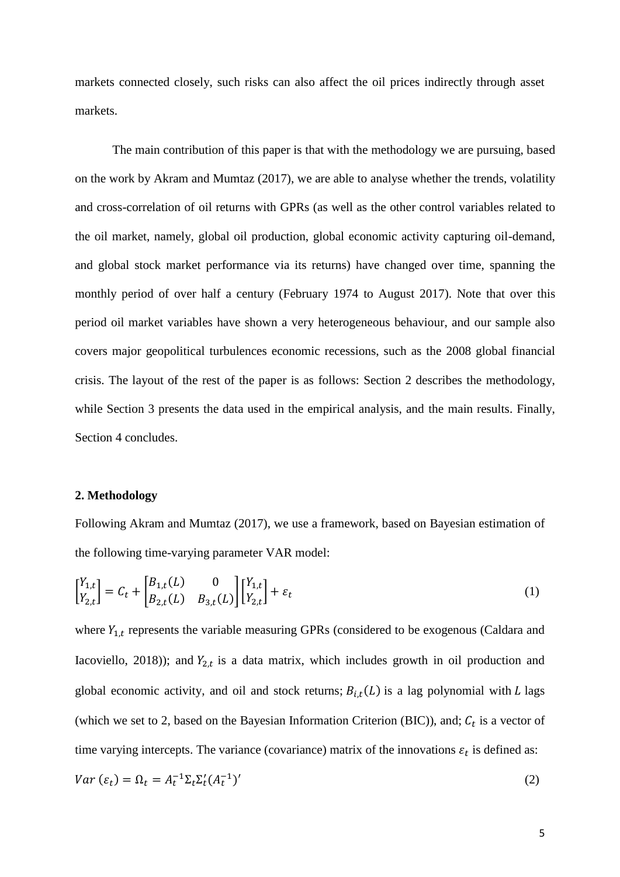markets connected closely, such risks can also affect the oil prices indirectly through asset markets.

The main contribution of this paper is that with the methodology we are pursuing, based on the work by Akram and Mumtaz (2017), we are able to analyse whether the trends, volatility and cross-correlation of oil returns with GPRs (as well as the other control variables related to the oil market, namely, global oil production, global economic activity capturing oil-demand, and global stock market performance via its returns) have changed over time, spanning the monthly period of over half a century (February 1974 to August 2017). Note that over this period oil market variables have shown a very heterogeneous behaviour, and our sample also covers major geopolitical turbulences economic recessions, such as the 2008 global financial crisis. The layout of the rest of the paper is as follows: Section 2 describes the methodology, while Section 3 presents the data used in the empirical analysis, and the main results. Finally, Section 4 concludes.

#### **2. Methodology**

Following Akram and Mumtaz (2017), we use a framework, based on Bayesian estimation of the following time-varying parameter VAR model:

$$
\begin{bmatrix} Y_{1,t} \\ Y_{2,t} \end{bmatrix} = C_t + \begin{bmatrix} B_{1,t}(L) & 0 \\ B_{2,t}(L) & B_{3,t}(L) \end{bmatrix} \begin{bmatrix} Y_{1,t} \\ Y_{2,t} \end{bmatrix} + \varepsilon_t
$$
 (1)

where  $Y_{1,t}$  represents the variable measuring GPRs (considered to be exogenous (Caldara and Iacoviello, 2018)); and  $Y_{2,t}$  is a data matrix, which includes growth in oil production and global economic activity, and oil and stock returns;  $B_{i,t}(L)$  is a lag polynomial with L lags (which we set to 2, based on the Bayesian Information Criterion (BIC)), and;  $C_t$  is a vector of time varying intercepts. The variance (covariance) matrix of the innovations  $\varepsilon_t$  is defined as:

$$
Var\left(\varepsilon_t\right) = \Omega_t = A_t^{-1} \Sigma_t \Sigma_t' (A_t^{-1})' \tag{2}
$$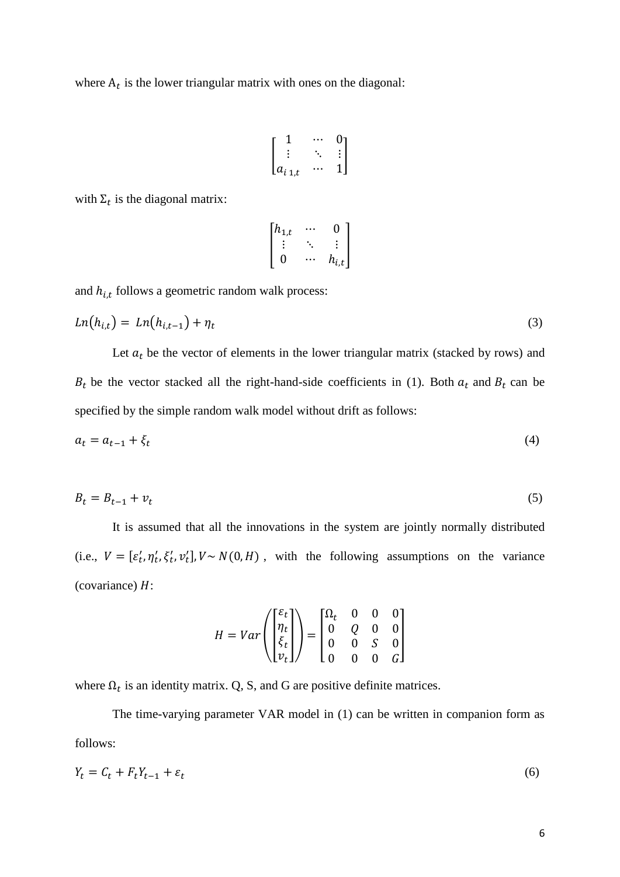where  $A_t$  is the lower triangular matrix with ones on the diagonal:

$$
\begin{bmatrix} 1 & \cdots & 0 \\ \vdots & \ddots & \vdots \\ a_{i1,t} & \cdots & 1 \end{bmatrix}
$$

with  $\Sigma_t$  is the diagonal matrix:

$$
\begin{bmatrix} h_{1,t} & \cdots & 0 \\ \vdots & \ddots & \vdots \\ 0 & \cdots & h_{i,t} \end{bmatrix}
$$

and  $h_{i,t}$  follows a geometric random walk process:

$$
Ln(h_{i,t}) = Ln(h_{i,t-1}) + \eta_t
$$
\n(3)

Let  $a_t$  be the vector of elements in the lower triangular matrix (stacked by rows) and  $B_t$  be the vector stacked all the right-hand-side coefficients in (1). Both  $a_t$  and  $B_t$  can be specified by the simple random walk model without drift as follows:

$$
a_t = a_{t-1} + \xi_t \tag{4}
$$

$$
B_t = B_{t-1} + v_t \tag{5}
$$

It is assumed that all the innovations in the system are jointly normally distributed (i.e.,  $V = [\varepsilon'_t, \eta'_t, \xi'_t, v'_t], V \sim N(0, H)$ , with the following assumptions on the variance (covariance)  $H$ :

$$
H = Var\left(\begin{bmatrix} \varepsilon_t \\ \eta_t \\ \xi_t \\ v_t \end{bmatrix}\right) = \begin{bmatrix} \Omega_t & 0 & 0 & 0 \\ 0 & Q & 0 & 0 \\ 0 & 0 & S & 0 \\ 0 & 0 & 0 & G \end{bmatrix}
$$

where  $\Omega_t$  is an identity matrix. Q, S, and G are positive definite matrices.

The time-varying parameter VAR model in (1) can be written in companion form as follows:

$$
Y_t = C_t + F_t Y_{t-1} + \varepsilon_t \tag{6}
$$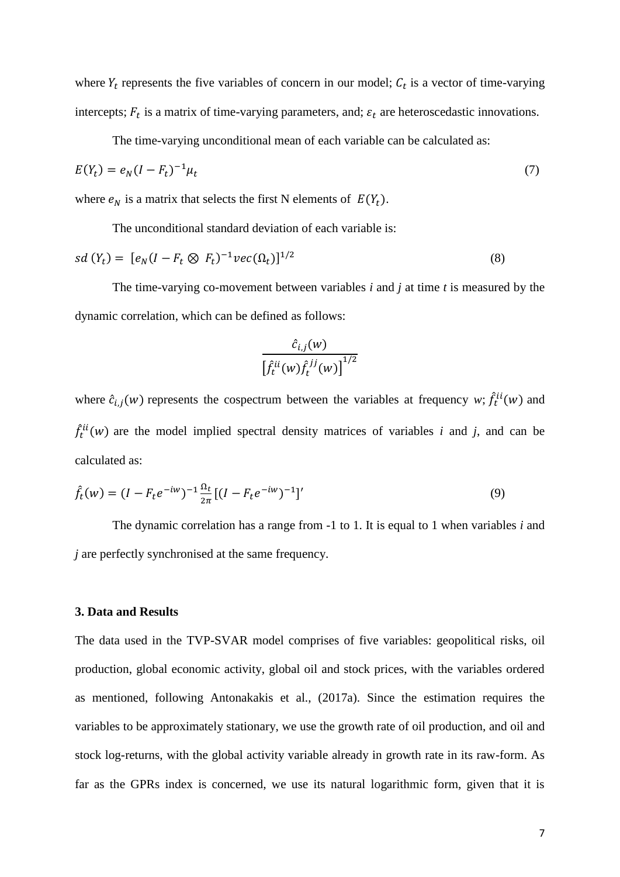where  $Y_t$  represents the five variables of concern in our model;  $C_t$  is a vector of time-varying intercepts;  $F_t$  is a matrix of time-varying parameters, and;  $\varepsilon_t$  are heteroscedastic innovations.

The time-varying unconditional mean of each variable can be calculated as:

$$
E(Y_t) = e_N (I - F_t)^{-1} \mu_t
$$
\n(7)

where  $e_N$  is a matrix that selects the first N elements of  $E(Y_t)$ .

The unconditional standard deviation of each variable is:

$$
sd(Y_t) = [e_N(I - F_t \otimes F_t)^{-1} \nu ec(\Omega_t)]^{1/2}
$$
\n(8)

The time-varying co-movement between variables *i* and *j* at time *t* is measured by the dynamic correlation, which can be defined as follows:

$$
\frac{\hat{c}_{i,j}(w)}{\left[\hat{f}_t^{ii}(w)\hat{f}_t^{jj}(w)\right]^{1/2}}
$$

where  $\hat{c}_{i,j}(w)$  represents the cospectrum between the variables at frequency *w*;  $\hat{f}_t^{ii}(w)$  and  $\hat{f}_t^{ii}(w)$  are the model implied spectral density matrices of variables *i* and *j*, and can be calculated as:

$$
\hat{f}_t(w) = (I - F_t e^{-iw})^{-1} \frac{\Omega_t}{2\pi} [(I - F_t e^{-iw})^{-1}]'
$$
\n(9)

The dynamic correlation has a range from -1 to 1. It is equal to 1 when variables *i* and *j* are perfectly synchronised at the same frequency.

## **3. Data and Results**

The data used in the TVP-SVAR model comprises of five variables: geopolitical risks, oil production, global economic activity, global oil and stock prices, with the variables ordered as mentioned, following Antonakakis et al., (2017a). Since the estimation requires the variables to be approximately stationary, we use the growth rate of oil production, and oil and stock log-returns, with the global activity variable already in growth rate in its raw-form. As far as the GPRs index is concerned, we use its natural logarithmic form, given that it is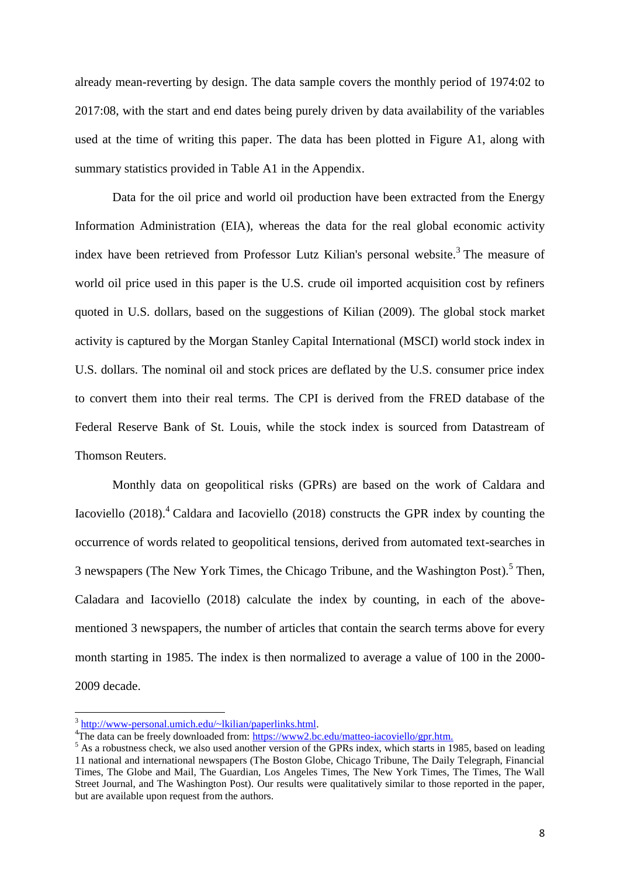already mean-reverting by design. The data sample covers the monthly period of 1974:02 to 2017:08, with the start and end dates being purely driven by data availability of the variables used at the time of writing this paper. The data has been plotted in Figure A1, along with summary statistics provided in Table A1 in the Appendix.

Data for the oil price and world oil production have been extracted from the Energy Information Administration (EIA), whereas the data for the real global economic activity index have been retrieved from Professor Lutz Kilian's personal website.<sup>3</sup> The measure of world oil price used in this paper is the U.S. crude oil imported acquisition cost by refiners quoted in U.S. dollars, based on the suggestions of Kilian (2009). The global stock market activity is captured by the Morgan Stanley Capital International (MSCI) world stock index in U.S. dollars. The nominal oil and stock prices are deflated by the U.S. consumer price index to convert them into their real terms. The CPI is derived from the FRED database of the Federal Reserve Bank of St. Louis, while the stock index is sourced from Datastream of Thomson Reuters.

Monthly data on geopolitical risks (GPRs) are based on the work of Caldara and Iacoviello  $(2018)$ <sup>4</sup> Caldara and Iacoviello  $(2018)$  constructs the GPR index by counting the occurrence of words related to geopolitical tensions, derived from automated text-searches in 3 newspapers (The New York Times, the Chicago Tribune, and the Washington Post).<sup>5</sup> Then, Caladara and Iacoviello (2018) calculate the index by counting, in each of the abovementioned 3 newspapers, the number of articles that contain the search terms above for every month starting in 1985. The index is then normalized to average a value of 100 in the 2000- 2009 decade.

**.** 

<sup>&</sup>lt;sup>3</sup> [http://www-personal.umich.edu/~lkilian/paperlinks.html.](http://www-personal.umich.edu/~lkilian/paperlinks.html)

<sup>&</sup>lt;sup>4</sup>The data can be freely downloaded from: [https://www2.bc.edu/matteo-iacoviello/gpr.htm.](https://www2.bc.edu/matteo-iacoviello/gpr.htm)

<sup>&</sup>lt;sup>5</sup> As a robustness check, we also used another version of the GPRs index, which starts in 1985, based on leading 11 national and international newspapers (The Boston Globe, Chicago Tribune, The Daily Telegraph, Financial Times, The Globe and Mail, The Guardian, Los Angeles Times, The New York Times, The Times, The Wall Street Journal, and The Washington Post). Our results were qualitatively similar to those reported in the paper, but are available upon request from the authors.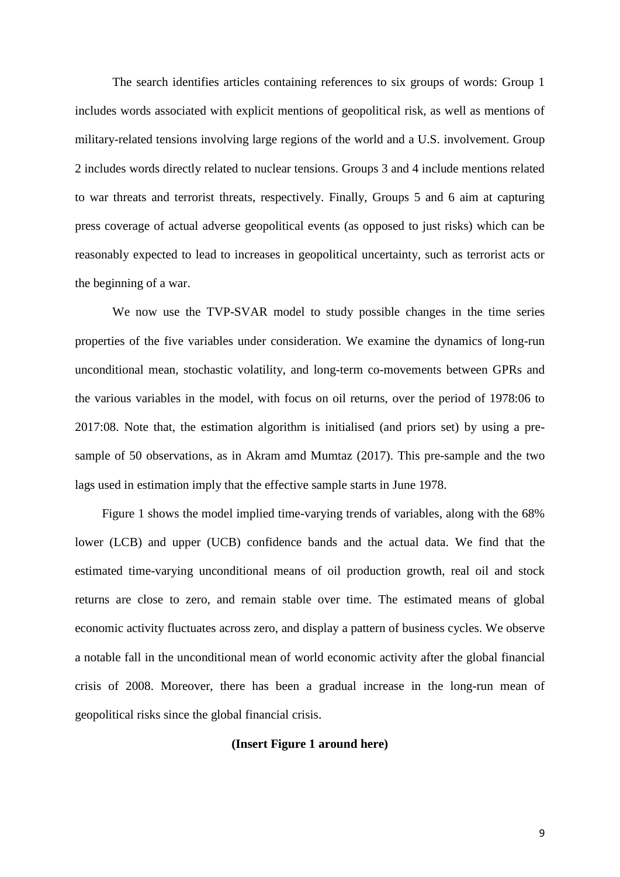The search identifies articles containing references to six groups of words: Group 1 includes words associated with explicit mentions of geopolitical risk, as well as mentions of military-related tensions involving large regions of the world and a U.S. involvement. Group 2 includes words directly related to nuclear tensions. Groups 3 and 4 include mentions related to war threats and terrorist threats, respectively. Finally, Groups 5 and 6 aim at capturing press coverage of actual adverse geopolitical events (as opposed to just risks) which can be reasonably expected to lead to increases in geopolitical uncertainty, such as terrorist acts or the beginning of a war.

We now use the TVP-SVAR model to study possible changes in the time series properties of the five variables under consideration. We examine the dynamics of long-run unconditional mean, stochastic volatility, and long-term co-movements between GPRs and the various variables in the model, with focus on oil returns, over the period of 1978:06 to 2017:08. Note that, the estimation algorithm is initialised (and priors set) by using a presample of 50 observations, as in Akram amd Mumtaz (2017). This pre-sample and the two lags used in estimation imply that the effective sample starts in June 1978.

Figure 1 shows the model implied time-varying trends of variables, along with the 68% lower (LCB) and upper (UCB) confidence bands and the actual data. We find that the estimated time-varying unconditional means of oil production growth, real oil and stock returns are close to zero, and remain stable over time. The estimated means of global economic activity fluctuates across zero, and display a pattern of business cycles. We observe a notable fall in the unconditional mean of world economic activity after the global financial crisis of 2008. Moreover, there has been a gradual increase in the long-run mean of geopolitical risks since the global financial crisis.

#### **(Insert Figure 1 around here)**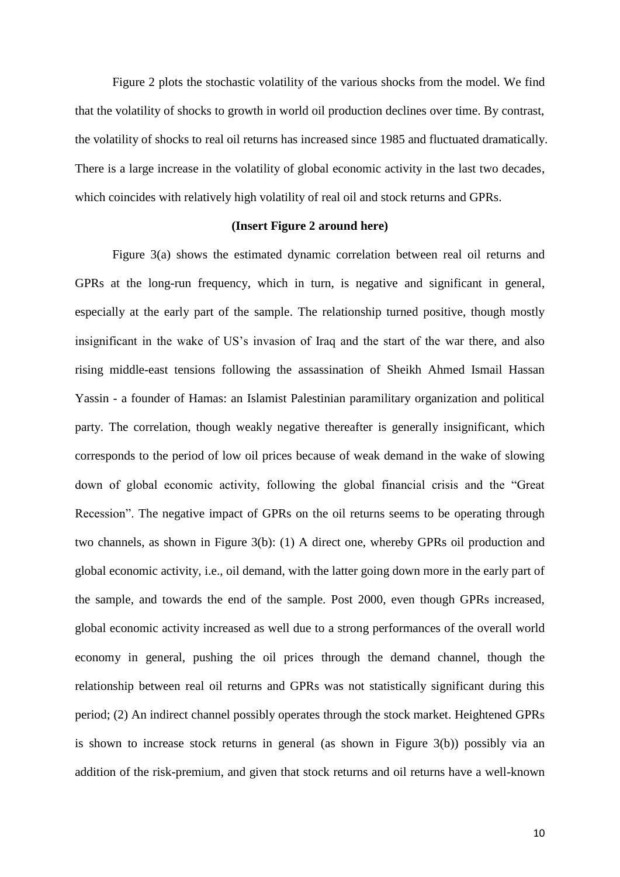Figure 2 plots the stochastic volatility of the various shocks from the model. We find that the volatility of shocks to growth in world oil production declines over time. By contrast, the volatility of shocks to real oil returns has increased since 1985 and fluctuated dramatically. There is a large increase in the volatility of global economic activity in the last two decades, which coincides with relatively high volatility of real oil and stock returns and GPRs.

### **(Insert Figure 2 around here)**

Figure 3(a) shows the estimated dynamic correlation between real oil returns and GPRs at the long-run frequency, which in turn, is negative and significant in general, especially at the early part of the sample. The relationship turned positive, though mostly insignificant in the wake of US's invasion of Iraq and the start of the war there, and also rising middle-east tensions following the assassination of Sheikh Ahmed Ismail Hassan Yassin - a founder of Hamas: an Islamist Palestinian paramilitary organization and political party. The correlation, though weakly negative thereafter is generally insignificant, which corresponds to the period of low oil prices because of weak demand in the wake of slowing down of global economic activity, following the global financial crisis and the "Great Recession". The negative impact of GPRs on the oil returns seems to be operating through two channels, as shown in Figure 3(b): (1) A direct one, whereby GPRs oil production and global economic activity, i.e., oil demand, with the latter going down more in the early part of the sample, and towards the end of the sample. Post 2000, even though GPRs increased, global economic activity increased as well due to a strong performances of the overall world economy in general, pushing the oil prices through the demand channel, though the relationship between real oil returns and GPRs was not statistically significant during this period; (2) An indirect channel possibly operates through the stock market. Heightened GPRs is shown to increase stock returns in general (as shown in Figure 3(b)) possibly via an addition of the risk-premium, and given that stock returns and oil returns have a well-known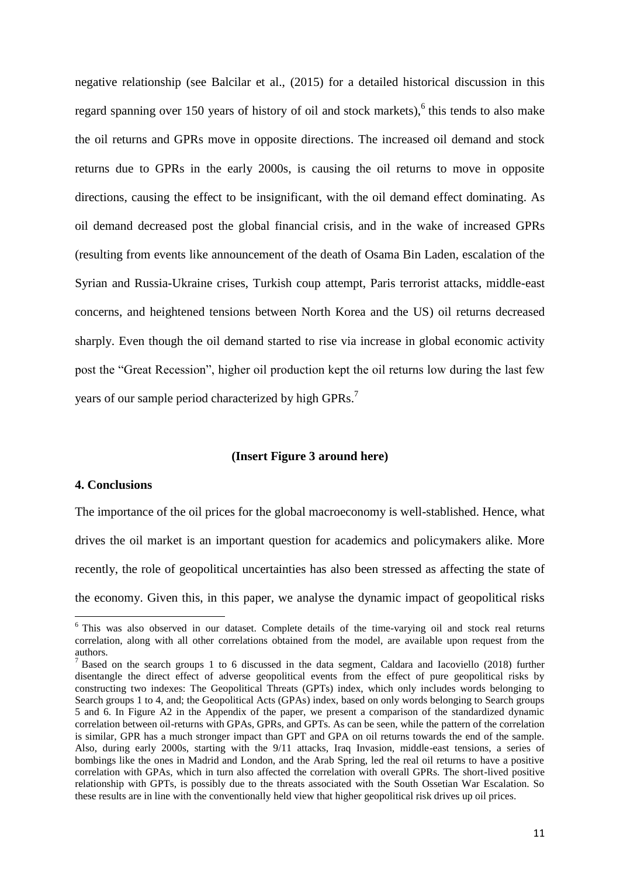negative relationship (see Balcilar et al., (2015) for a detailed historical discussion in this regard spanning over 150 years of history of oil and stock markets),  $6$  this tends to also make the oil returns and GPRs move in opposite directions. The increased oil demand and stock returns due to GPRs in the early 2000s, is causing the oil returns to move in opposite directions, causing the effect to be insignificant, with the oil demand effect dominating. As oil demand decreased post the global financial crisis, and in the wake of increased GPRs (resulting from events like announcement of the death of Osama Bin Laden, escalation of the Syrian and Russia-Ukraine crises, Turkish coup attempt, Paris terrorist attacks, middle-east concerns, and heightened tensions between North Korea and the US) oil returns decreased sharply. Even though the oil demand started to rise via increase in global economic activity post the "Great Recession", higher oil production kept the oil returns low during the last few years of our sample period characterized by high GPRs.<sup>7</sup>

#### **(Insert Figure 3 around here)**

### **4. Conclusions**

1

The importance of the oil prices for the global macroeconomy is well-stablished. Hence, what drives the oil market is an important question for academics and policymakers alike. More recently, the role of geopolitical uncertainties has also been stressed as affecting the state of the economy. Given this, in this paper, we analyse the dynamic impact of geopolitical risks

<sup>&</sup>lt;sup>6</sup> This was also observed in our dataset. Complete details of the time-varying oil and stock real returns correlation, along with all other correlations obtained from the model, are available upon request from the authors.

<sup>&</sup>lt;sup>7</sup> Based on the search groups 1 to 6 discussed in the data segment, Caldara and Iacoviello (2018) further disentangle the direct effect of adverse geopolitical events from the effect of pure geopolitical risks by constructing two indexes: The Geopolitical Threats (GPTs) index, which only includes words belonging to Search groups 1 to 4, and; the Geopolitical Acts (GPAs) index, based on only words belonging to Search groups 5 and 6. In Figure A2 in the Appendix of the paper, we present a comparison of the standardized dynamic correlation between oil-returns with GPAs, GPRs, and GPTs. As can be seen, while the pattern of the correlation is similar, GPR has a much stronger impact than GPT and GPA on oil returns towards the end of the sample. Also, during early 2000s, starting with the 9/11 attacks, Iraq Invasion, middle-east tensions, a series of bombings like the ones in Madrid and London, and the Arab Spring, led the real oil returns to have a positive correlation with GPAs, which in turn also affected the correlation with overall GPRs. The short-lived positive relationship with GPTs, is possibly due to the threats associated with the South Ossetian War Escalation. So these results are in line with the conventionally held view that higher geopolitical risk drives up oil prices.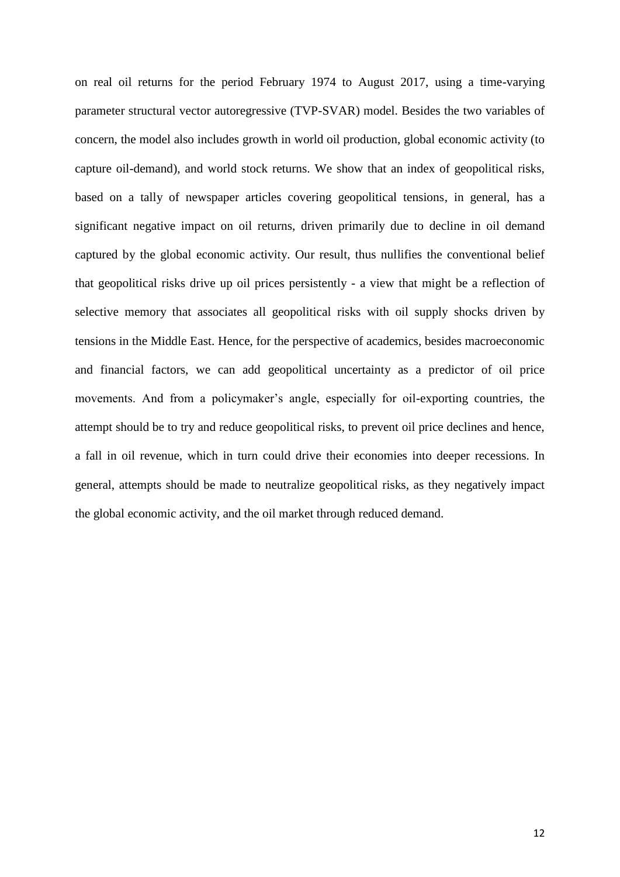on real oil returns for the period February 1974 to August 2017, using a time-varying parameter structural vector autoregressive (TVP-SVAR) model. Besides the two variables of concern, the model also includes growth in world oil production, global economic activity (to capture oil-demand), and world stock returns. We show that an index of geopolitical risks, based on a tally of newspaper articles covering geopolitical tensions, in general, has a significant negative impact on oil returns, driven primarily due to decline in oil demand captured by the global economic activity. Our result, thus nullifies the conventional belief that geopolitical risks drive up oil prices persistently - a view that might be a reflection of selective memory that associates all geopolitical risks with oil supply shocks driven by tensions in the Middle East. Hence, for the perspective of academics, besides macroeconomic and financial factors, we can add geopolitical uncertainty as a predictor of oil price movements. And from a policymaker's angle, especially for oil-exporting countries, the attempt should be to try and reduce geopolitical risks, to prevent oil price declines and hence, a fall in oil revenue, which in turn could drive their economies into deeper recessions. In general, attempts should be made to neutralize geopolitical risks, as they negatively impact the global economic activity, and the oil market through reduced demand.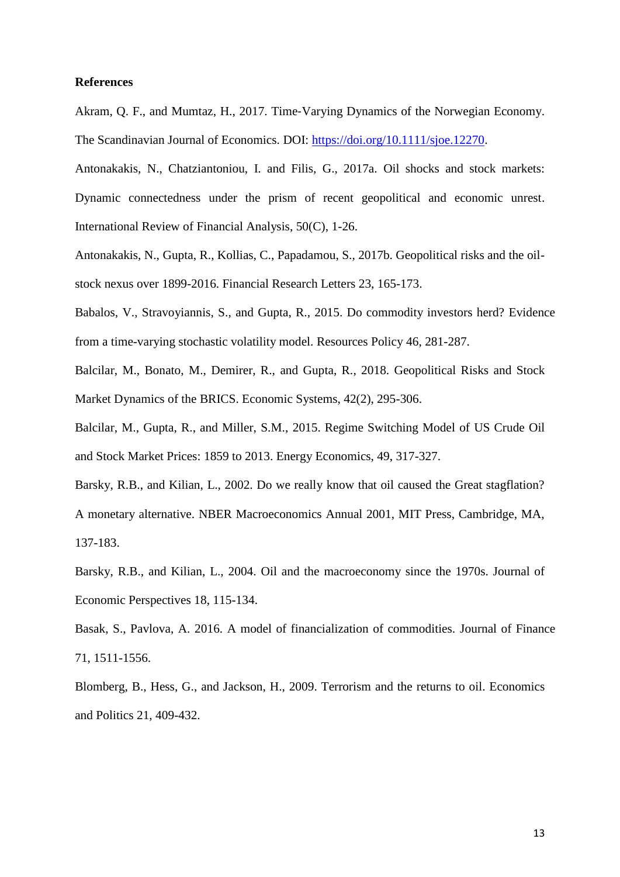#### **References**

Akram, Q. F., and Mumtaz, H., 2017. Time‐Varying Dynamics of the Norwegian Economy. The Scandinavian Journal of Economics. DOI: [https://doi.org/10.1111/sjoe.12270.](https://doi.org/10.1111/sjoe.12270)

Antonakakis, N., Chatziantoniou, I. and Filis, G., 2017a. Oil shocks and stock markets: Dynamic connectedness under the prism of recent geopolitical and economic unrest. International Review of Financial Analysis, 50(C), 1-26.

Antonakakis, N., Gupta, R., Kollias, C., Papadamou, S., 2017b. Geopolitical risks and the oilstock nexus over 1899-2016. Financial Research Letters 23, 165-173.

Babalos, V., Stravoyiannis, S., and Gupta, R., 2015. Do commodity investors herd? Evidence from a time-varying stochastic volatility model. Resources Policy 46, 281-287.

Balcilar, M., Bonato, M., Demirer, R., and Gupta, R., 2018. Geopolitical Risks and Stock Market Dynamics of the BRICS. Economic Systems, 42(2), 295-306.

Balcilar, M., Gupta, R., and Miller, S.M., 2015. Regime Switching Model of US Crude Oil and Stock Market Prices: 1859 to 2013. Energy Economics, 49, 317-327.

Barsky, R.B., and Kilian, L., 2002. Do we really know that oil caused the Great stagflation? A monetary alternative. NBER Macroeconomics Annual 2001, MIT Press, Cambridge, MA, 137-183.

Barsky, R.B., and Kilian, L., 2004. Oil and the macroeconomy since the 1970s. Journal of Economic Perspectives 18, 115-134.

Basak, S., Pavlova, A. 2016. A model of financialization of commodities. Journal of Finance 71, 1511-1556.

Blomberg, B., Hess, G., and Jackson, H., 2009. Terrorism and the returns to oil. Economics and Politics 21, 409-432.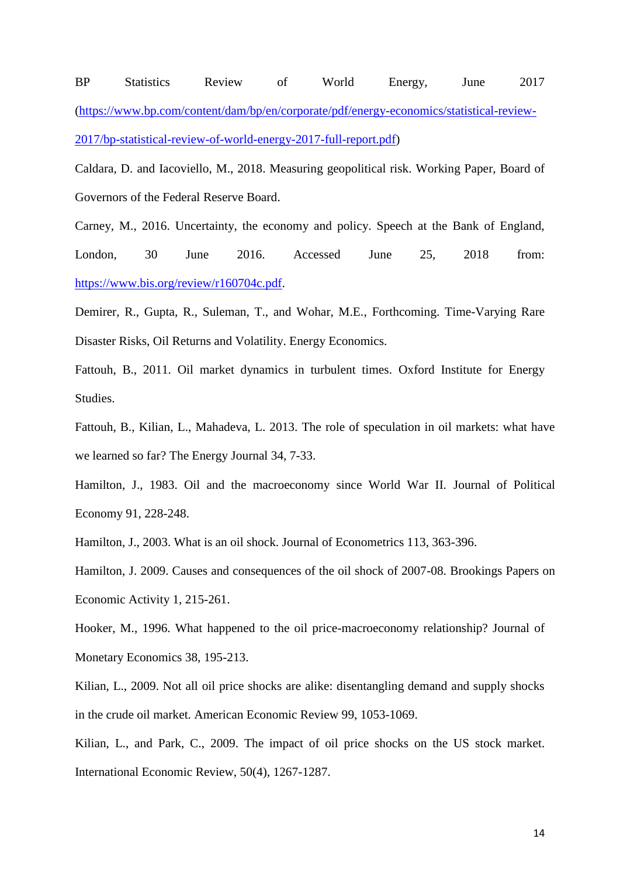BP Statistics Review of World Energy, June 2017 [\(https://www.bp.com/content/dam/bp/en/corporate/pdf/energy-economics/statistical-review-](https://www.bp.com/content/dam/bp/en/corporate/pdf/energy-economics/statistical-review-2017/bp-statistical-review-of-world-energy-2017-full-report.pdf)[2017/bp-statistical-review-of-world-energy-2017-full-report.pdf\)](https://www.bp.com/content/dam/bp/en/corporate/pdf/energy-economics/statistical-review-2017/bp-statistical-review-of-world-energy-2017-full-report.pdf)

Caldara, D. and Iacoviello, M., 2018. Measuring geopolitical risk. Working Paper, Board of Governors of the Federal Reserve Board.

Carney, M., 2016. Uncertainty, the economy and policy. Speech at the Bank of England, London, 30 June 2016. Accessed June 25, 2018 from: [https://www.bis.org/review/r160704c.pdf.](https://www.bis.org/review/r160704c.pdf)

Demirer, R., Gupta, R., Suleman, T., and Wohar, M.E., Forthcoming. Time-Varying Rare Disaster Risks, Oil Returns and Volatility. Energy Economics.

Fattouh, B., 2011. Oil market dynamics in turbulent times. Oxford Institute for Energy Studies.

Fattouh, B., Kilian, L., Mahadeva, L. 2013. The role of speculation in oil markets: what have we learned so far? The Energy Journal 34, 7-33.

Hamilton, J., 1983. Oil and the macroeconomy since World War II. Journal of Political Economy 91, 228-248.

Hamilton, J., 2003. What is an oil shock. Journal of Econometrics 113, 363-396.

Hamilton, J. 2009. Causes and consequences of the oil shock of 2007-08. Brookings Papers on Economic Activity 1, 215-261.

Hooker, M., 1996. What happened to the oil price-macroeconomy relationship? Journal of Monetary Economics 38, 195-213.

Kilian, L., 2009. Not all oil price shocks are alike: disentangling demand and supply shocks in the crude oil market. American Economic Review 99, 1053-1069.

Kilian, L., and Park, C., 2009. The impact of oil price shocks on the US stock market. International Economic Review, 50(4), 1267-1287.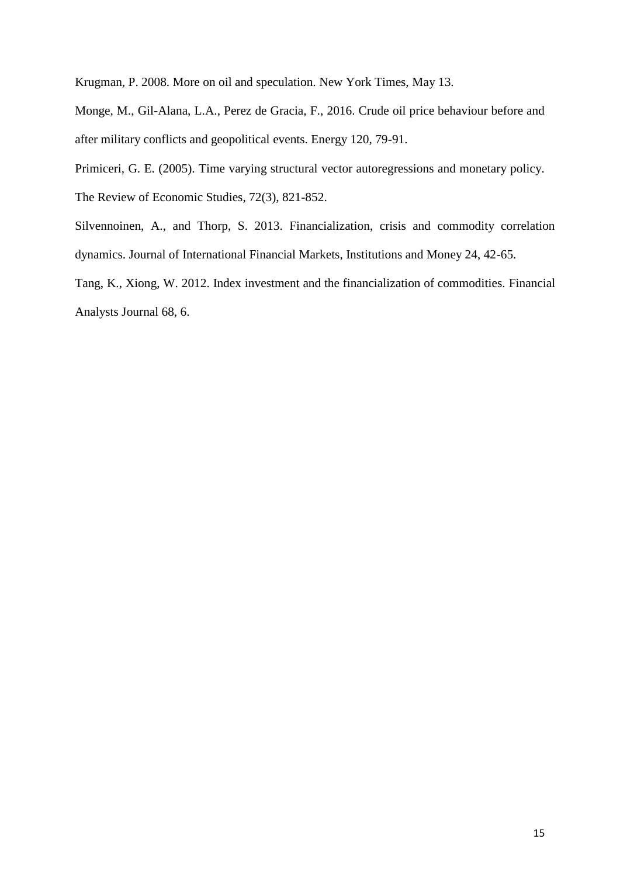Krugman, P. 2008. More on oil and speculation. New York Times, May 13.

Monge, M., Gil-Alana, L.A., Perez de Gracia, F., 2016. Crude oil price behaviour before and after military conflicts and geopolitical events. Energy 120, 79-91.

Primiceri, G. E. (2005). Time varying structural vector autoregressions and monetary policy. The Review of Economic Studies, 72(3), 821-852.

Silvennoinen, A., and Thorp, S. 2013. Financialization, crisis and commodity correlation dynamics. Journal of International Financial Markets, Institutions and Money 24, 42-65.

Tang, K., Xiong, W. 2012. Index investment and the financialization of commodities. Financial Analysts Journal 68, 6.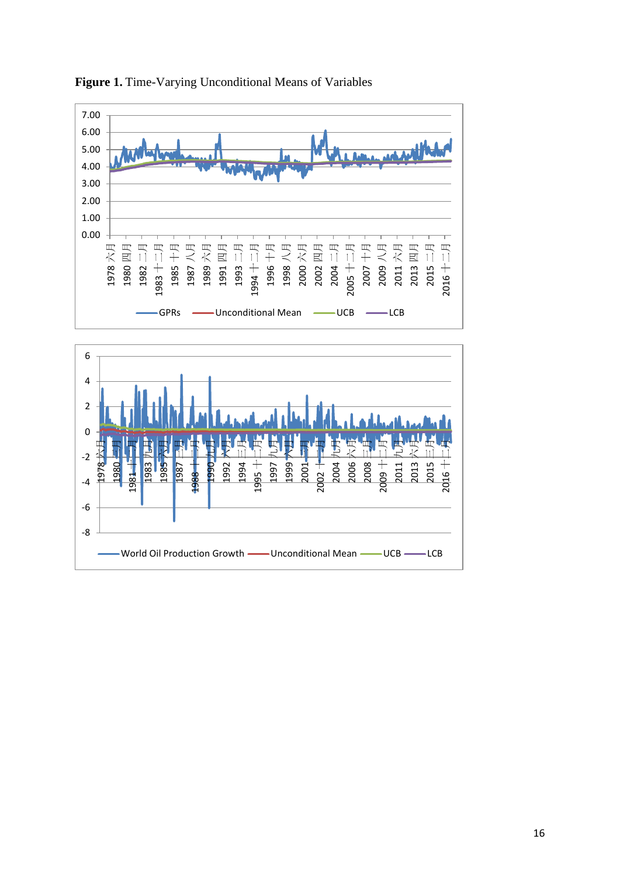



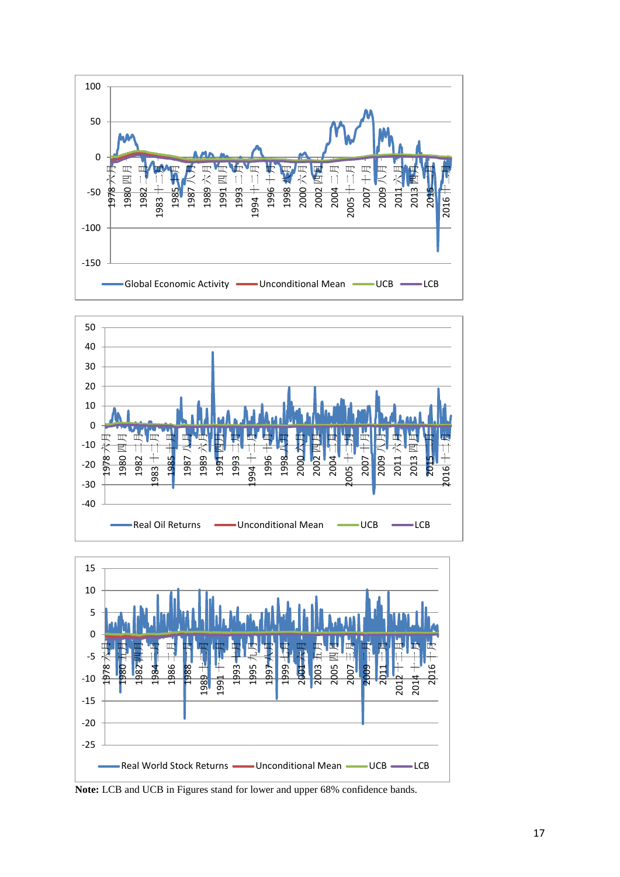





**Note:** LCB and UCB in Figures stand for lower and upper 68% confidence bands.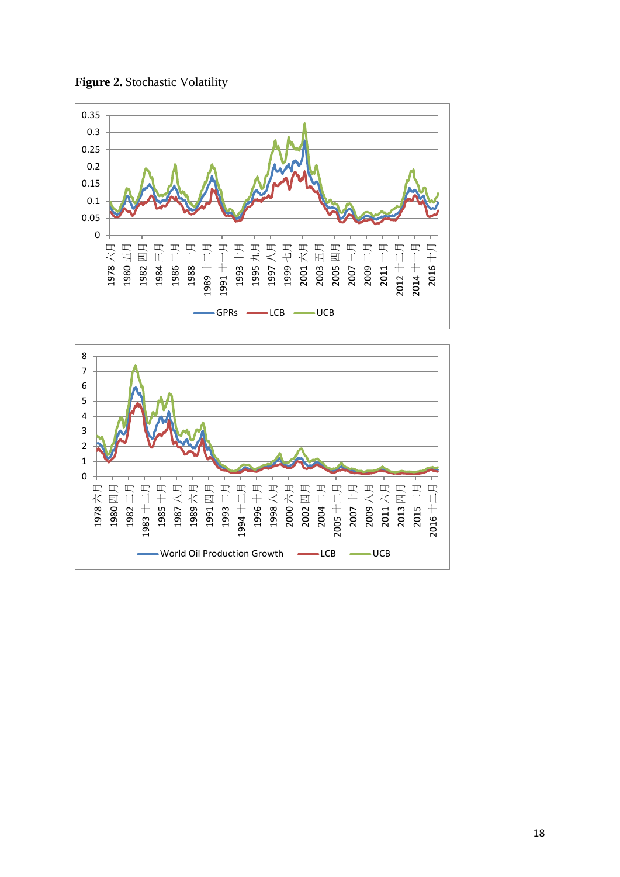

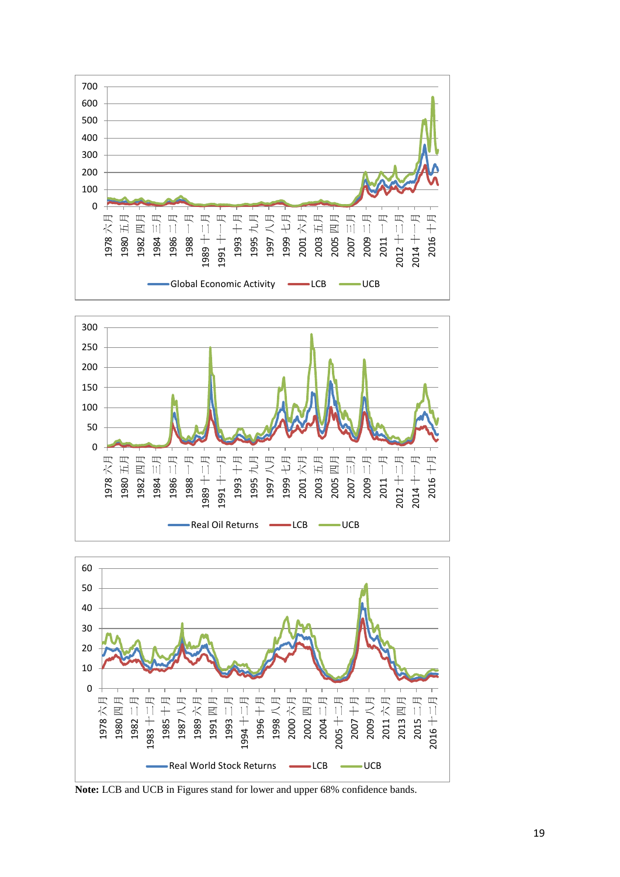





**Note:** LCB and UCB in Figures stand for lower and upper 68% confidence bands.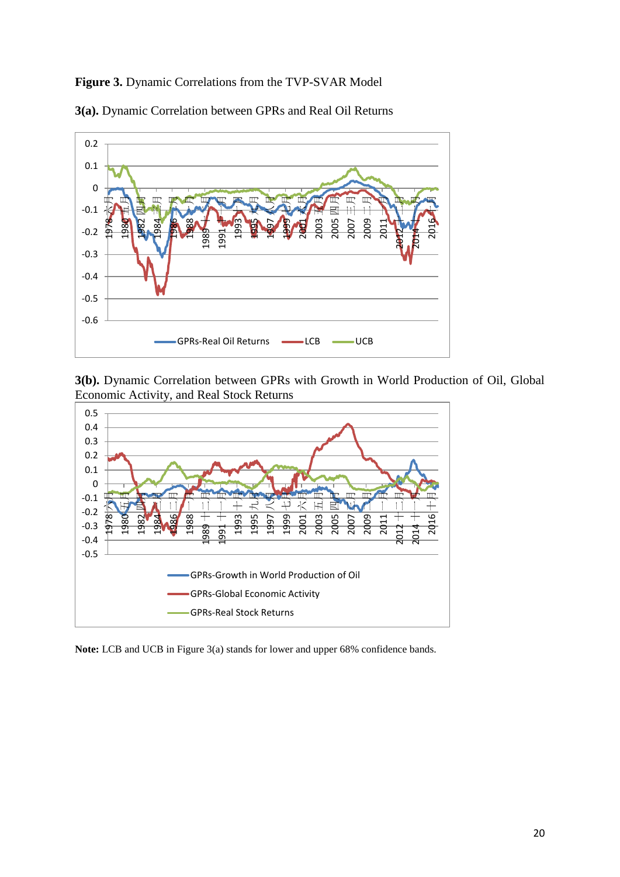# **Figure 3.** Dynamic Correlations from the TVP-SVAR Model





**3(b).** Dynamic Correlation between GPRs with Growth in World Production of Oil, Global Economic Activity, and Real Stock Returns



**Note:** LCB and UCB in Figure 3(a) stands for lower and upper 68% confidence bands.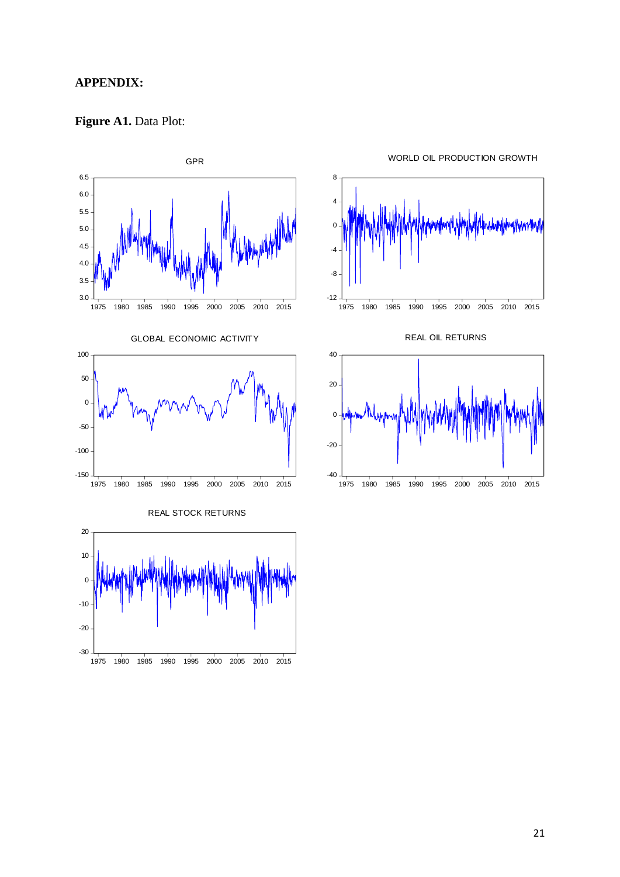## **APPENDIX:**